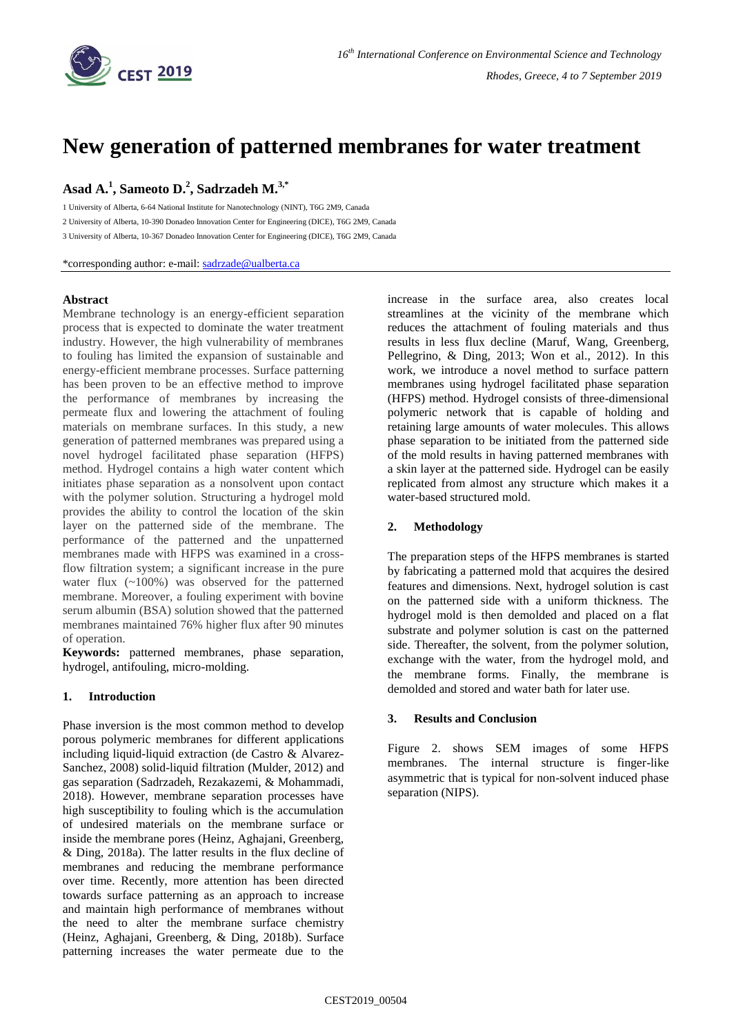

# **New generation of patterned membranes for water treatment**

## **Asad A. 1 , Sameoto D. 2 , Sadrzadeh M. 3,\***

1 University of Alberta, 6-64 National Institute for Nanotechnology (NINT), T6G 2M9, Canada

2 University of Alberta, 10-390 Donadeo Innovation Center for Engineering (DICE), T6G 2M9, Canada

3 University of Alberta, 10-367 Donadeo Innovation Center for Engineering (DICE), T6G 2M9, Canada

\*corresponding author: e-mail: [sadrzade@ualberta.ca](mailto:sadrzade@ualberta.ca)

#### **Abstract**

Membrane technology is an energy-efficient separation process that is expected to dominate the water treatment industry. However, the high vulnerability of membranes to fouling has limited the expansion of sustainable and energy-efficient membrane processes. Surface patterning has been proven to be an effective method to improve the performance of membranes by increasing the permeate flux and lowering the attachment of fouling materials on membrane surfaces. In this study, a new generation of patterned membranes was prepared using a novel hydrogel facilitated phase separation (HFPS) method. Hydrogel contains a high water content which initiates phase separation as a nonsolvent upon contact with the polymer solution. Structuring a hydrogel mold provides the ability to control the location of the skin layer on the patterned side of the membrane. The performance of the patterned and the unpatterned membranes made with HFPS was examined in a crossflow filtration system; a significant increase in the pure water flux (~100%) was observed for the patterned membrane. Moreover, a fouling experiment with bovine serum albumin (BSA) solution showed that the patterned membranes maintained 76% higher flux after 90 minutes of operation.

**Keywords:** patterned membranes, phase separation, hydrogel, antifouling, micro-molding.

#### **1. Introduction**

Phase inversion is the most common method to develop porous polymeric membranes for different applications including liquid-liquid extraction (de Castro & Alvarez-Sanchez, 2008) solid-liquid filtration (Mulder, 2012) and gas separation (Sadrzadeh, Rezakazemi, & Mohammadi, 2018). However, membrane separation processes have high susceptibility to fouling which is the accumulation of undesired materials on the membrane surface or inside the membrane pores (Heinz, Aghajani, Greenberg, & Ding, 2018a). The latter results in the flux decline of membranes and reducing the membrane performance over time. Recently, more attention has been directed towards surface patterning as an approach to increase and maintain high performance of membranes without the need to alter the membrane surface chemistry (Heinz, Aghajani, Greenberg, & Ding, 2018b). Surface patterning increases the water permeate due to the

increase in the surface area, also creates local streamlines at the vicinity of the membrane which reduces the attachment of fouling materials and thus results in less flux decline (Maruf, Wang, Greenberg, Pellegrino, & Ding, 2013; Won et al., 2012). In this work, we introduce a novel method to surface pattern membranes using hydrogel facilitated phase separation (HFPS) method. Hydrogel consists of three-dimensional polymeric network that is capable of holding and retaining large amounts of water molecules. This allows phase separation to be initiated from the patterned side of the mold results in having patterned membranes with a skin layer at the patterned side. Hydrogel can be easily replicated from almost any structure which makes it a water-based structured mold.

### **2. Methodology**

The preparation steps of the HFPS membranes is started by fabricating a patterned mold that acquires the desired features and dimensions. Next, hydrogel solution is cast on the patterned side with a uniform thickness. The hydrogel mold is then demolded and placed on a flat substrate and polymer solution is cast on the patterned side. Thereafter, the solvent, from the polymer solution, exchange with the water, from the hydrogel mold, and the membrane forms. Finally, the membrane is demolded and stored and water bath for later use.

#### **3. Results and Conclusion**

Figure 2. shows SEM images of some HFPS membranes. The internal structure is finger-like asymmetric that is typical for non-solvent induced phase separation (NIPS).